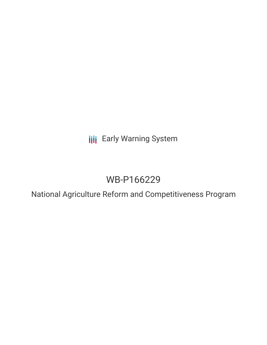**III** Early Warning System

# WB-P166229

National Agriculture Reform and Competitiveness Program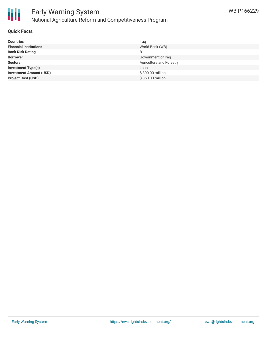

#### **Quick Facts**

| <b>Countries</b>               | Iraq                     |
|--------------------------------|--------------------------|
| <b>Financial Institutions</b>  | World Bank (WB)          |
| <b>Bank Risk Rating</b>        |                          |
| <b>Borrower</b>                | Government of Iraq       |
| <b>Sectors</b>                 | Agriculture and Forestry |
| <b>Investment Type(s)</b>      | Loan                     |
| <b>Investment Amount (USD)</b> | \$300.00 million         |
| <b>Project Cost (USD)</b>      | \$360.00 million         |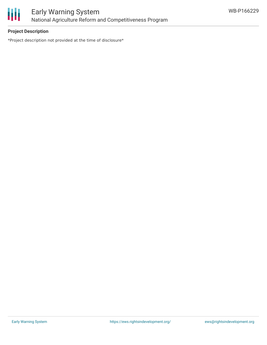

## **Project Description**

\*Project description not provided at the time of disclosure\*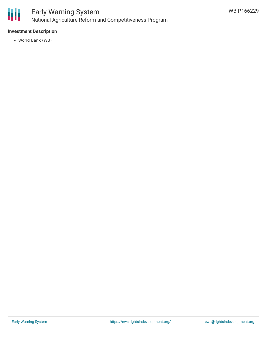

### **Investment Description**

World Bank (WB)